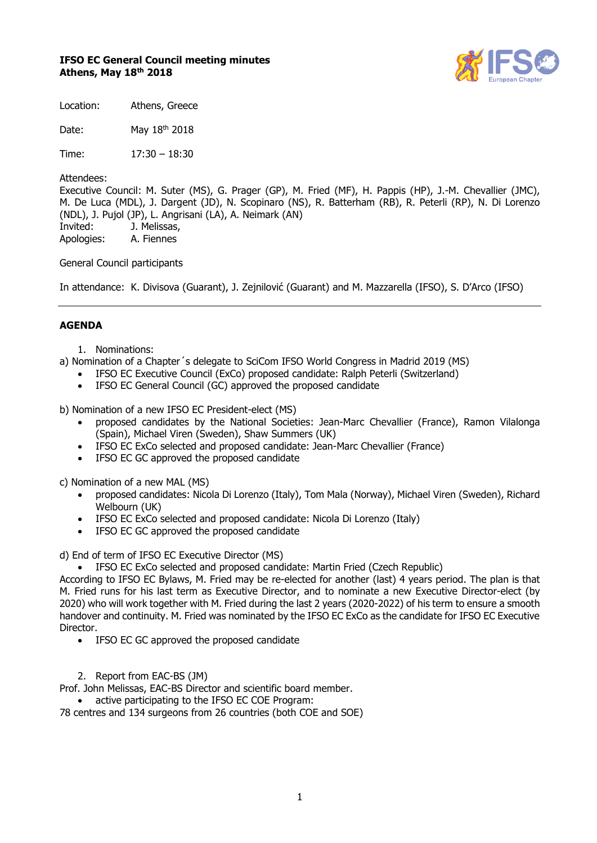# **IFSO EC General Council meeting minutes Athens, May 18 th 2018**



Location: Athens, Greece

Date: May 18<sup>th</sup> 2018

Time: 17:30 – 18:30

Attendees:

Executive Council: M. Suter (MS), G. Prager (GP), M. Fried (MF), H. Pappis (HP), J.-M. Chevallier (JMC), M. De Luca (MDL), J. Dargent (JD), N. Scopinaro (NS), R. Batterham (RB), R. Peterli (RP), N. Di Lorenzo (NDL), J. Pujol (JP), L. Angrisani (LA), A. Neimark (AN) Invited: J. Melissas, Apologies: A. Fiennes

General Council participants

In attendance: K. Divisova (Guarant), J. Zejnilović (Guarant) and M. Mazzarella (IFSO), S. D'Arco (IFSO)

# **AGENDA**

- 1. Nominations:
- a) Nomination of a Chapter´s delegate to SciCom IFSO World Congress in Madrid 2019 (MS)
	- IFSO EC Executive Council (ExCo) proposed candidate: Ralph Peterli (Switzerland)
	- IFSO EC General Council (GC) approved the proposed candidate

b) Nomination of a new IFSO EC President-elect (MS)

- proposed candidates by the National Societies: Jean-Marc Chevallier (France), Ramon Vilalonga (Spain), Michael Viren (Sweden), Shaw Summers (UK)
- IFSO EC ExCo selected and proposed candidate: Jean-Marc Chevallier (France)
- IFSO EC GC approved the proposed candidate

c) Nomination of a new MAL (MS)

- proposed candidates: Nicola Di Lorenzo (Italy), Tom Mala (Norway), Michael Viren (Sweden), Richard Welbourn (UK)
- IFSO EC ExCo selected and proposed candidate: Nicola Di Lorenzo (Italy)
- IFSO EC GC approved the proposed candidate

d) End of term of IFSO EC Executive Director (MS)

• IFSO EC ExCo selected and proposed candidate: Martin Fried (Czech Republic)

According to IFSO EC Bylaws, M. Fried may be re-elected for another (last) 4 years period. The plan is that M. Fried runs for his last term as Executive Director, and to nominate a new Executive Director-elect (by 2020) who will work together with M. Fried during the last 2 years (2020-2022) of his term to ensure a smooth handover and continuity. M. Fried was nominated by the IFSO EC ExCo as the candidate for IFSO EC Executive Director.

- IFSO EC GC approved the proposed candidate
- 2. Report from EAC-BS (JM)

Prof. John Melissas, EAC-BS Director and scientific board member.

• active participating to the IFSO EC COE Program:

78 centres and 134 surgeons from 26 countries (both COE and SOE)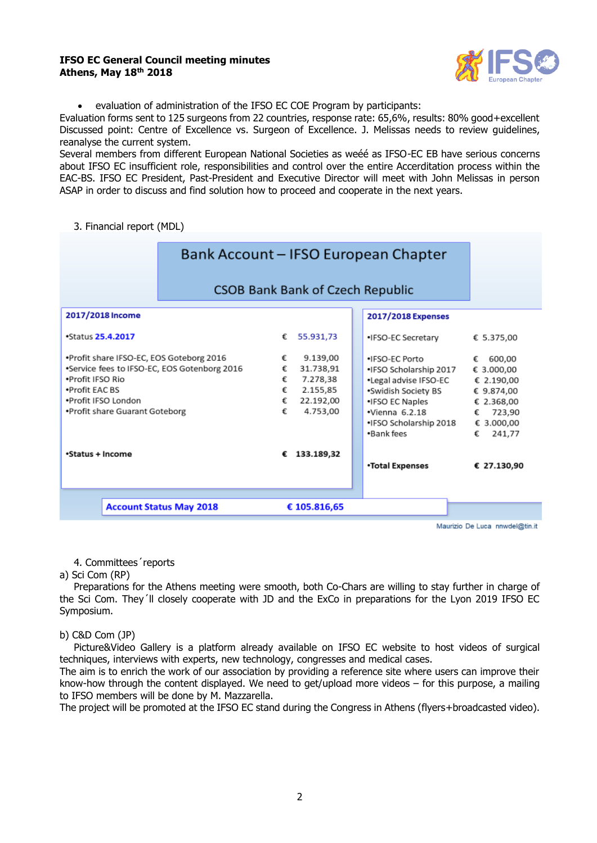#### **IFSO EC General Council meeting minutes Athens, May 18 th 2018**



• evaluation of administration of the IFSO EC COE Program by participants:

Evaluation forms sent to 125 surgeons from 22 countries, response rate: 65,6%, results: 80% good+excellent Discussed point: Centre of Excellence vs. Surgeon of Excellence. J. Melissas needs to review guidelines, reanalyse the current system.

Several members from different European National Societies as weéé as IFSO-EC EB have serious concerns about IFSO EC insufficient role, responsibilities and control over the entire Accerditation process within the EAC-BS. IFSO EC President, Past-President and Executive Director will meet with John Melissas in person ASAP in order to discuss and find solution how to proceed and cooperate in the next years.

3. Financial report (MDL)

| Bank Account - IFSO European Chapter                                                                                                                                                    |                            |                                                                        |  |                                                                                                                                                                               |                                                                                                                 |
|-----------------------------------------------------------------------------------------------------------------------------------------------------------------------------------------|----------------------------|------------------------------------------------------------------------|--|-------------------------------------------------------------------------------------------------------------------------------------------------------------------------------|-----------------------------------------------------------------------------------------------------------------|
| <b>CSOB Bank Bank of Czech Republic</b>                                                                                                                                                 |                            |                                                                        |  |                                                                                                                                                                               |                                                                                                                 |
| 2017/2018 Income                                                                                                                                                                        |                            |                                                                        |  | 2017/2018 Expenses                                                                                                                                                            |                                                                                                                 |
| <b>Status 25.4.2017</b>                                                                                                                                                                 | €                          | 55.931.73                                                              |  | •IFSO-EC Secretary                                                                                                                                                            | € 5.375,00                                                                                                      |
| .Profit share IFSO-EC, EOS Goteborg 2016<br>*Service fees to IFSO-EC, EOS Gotenborg 2016<br>.Profit IFSO Rio<br>.Profit FAC BS<br>.Profit IFSO London<br>•Profit share Guarant Goteborg | €<br>€<br>€<br>€<br>€<br>€ | 9.139,00<br>31.738,91<br>7.278,38<br>2.155,85<br>22.192,00<br>4.753,00 |  | . IFSO-EC Porto<br>•IFSO Scholarship 2017<br>•Legal advise IFSO-EC<br>•Swidish Society BS<br>•IFSO EC Naples<br>$\cdot$ Vienna 6.2.18<br>•IFSO Scholarship 2018<br>•Bank fees | 600,00<br>€<br>€ 3.000,00<br>€ 2.190,00<br>€ 9.874.00<br>€ 2.368,00<br>723,90<br>€<br>€ 3.000,00<br>241,77<br>€ |
| •Status + Income                                                                                                                                                                        | €                          | 133.189,32                                                             |  | •Total Expenses                                                                                                                                                               | € 27.130,90                                                                                                     |
| <b>Account Status May 2018</b>                                                                                                                                                          |                            | € 105.816,65                                                           |  |                                                                                                                                                                               |                                                                                                                 |

Maurizio De Luca nnwdel@tin.it

4. Committees´reports

#### a) Sci Com (RP)

Preparations for the Athens meeting were smooth, both Co-Chars are willing to stay further in charge of the Sci Com. They´ll closely cooperate with JD and the ExCo in preparations for the Lyon 2019 IFSO EC Symposium.

# b) C&D Com (JP)

Picture&Video Gallery is a platform already available on IFSO EC website to host videos of surgical techniques, interviews with experts, new technology, congresses and medical cases.

The aim is to enrich the work of our association by providing a reference site where users can improve their know-how through the content displayed. We need to get/upload more videos – for this purpose, a mailing to IFSO members will be done by M. Mazzarella.

The project will be promoted at the IFSO EC stand during the Congress in Athens (flyers+broadcasted video).